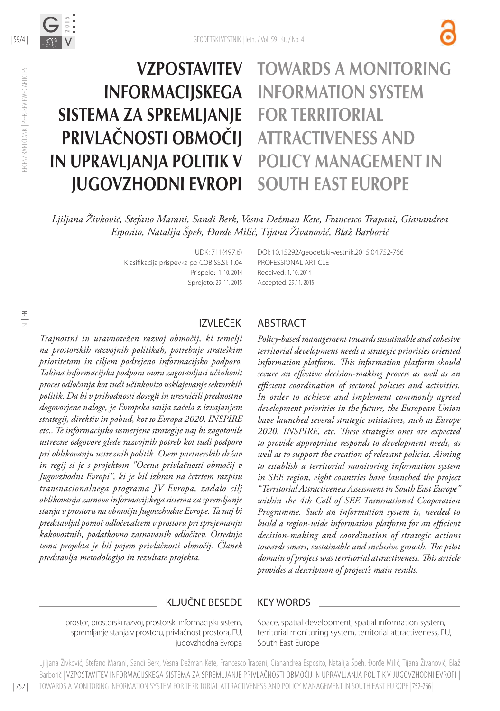

### TOWARDS A MONITORING INFORMATION SYSTEM FOR TERRITORIAL ATTRACTIVENESS AND POLICY MANAGEMENT IN SOUTH EAST EUROPE **VZPOSTAVITEV** INFORMACIJSKEGA SISTEMA ZA SPREMLJANJE PRIVLAČNOSTI OBMOČIJ IN UPRAVLJANJA POLITIK V JUGOVZHODNI EVROPI

*Ljiljana Živković, Stefano Marani, Sandi Berk, Vesna Dežman Kete, Francesco Trapani, Gianandrea Esposito, Natalija Špeh, Đorđe Milić, Tijana Živanović, Blaž Barborič*

> UDK: 711(497.6) Klasifikacija prispevka po COBISS.SI: 1.04 Prispelo: 1. 10. 2014 Sprejeto: 29. 11. 2015

DOI: 10.15292/geodetski-vestnik.2015.04.752-766 PROFESSIONAL ARTICLE Received: 1. 10. 2014 Accepted: 29.11. 2015

| 59/4 |

V

G **2015**

RECENZIRANI ČLANKI | PEER-REVIEWED ARTICLES

IECENZIRANI ČLANKI | PEER-REVIEWED ARTICLES

### IZVLEČEK

*Trajnostni in uravnotežen razvoj območij, ki temelji na prostorskih razvojnih politikah, potrebuje strateškim prioritetam in ciljem podrejeno informacijsko podporo. Takšna informacijska podpora mora zagotavljati učinkovit proces odločanja kot tudi učinkovito usklajevanje sektorskih politik. Da bi v prihodnosti dosegli in uresničili prednostno dogovorjene naloge, je Evropska unija začela z izvajanjem strategij, direktiv in pobud, kot so Evropa 2020, INSPIRE etc.. Te informacijsko usmerjene strategije naj bi zagotovile ustrezne odgovore glede razvojnih potreb kot tudi podporo pri oblikovanju ustreznih politik. Osem partnerskih držav in regij si je s projektom "Ocena privlačnosti območij v Jugovzhodni Evropi", ki je bil izbran na četrtem razpisu transnacionalnega programa JV Evropa, zadalo cilj oblikovanja zasnove informacijskega sistema za spremljanje stanja v prostoru na območju Jugovzhodne Evrope. Ta naj bi predstavljal pomoč odločevalcem v prostoru pri sprejemanju kakovostnih, podatkovno zasnovanih odločitev. Osrednja tema projekta je bil pojem privlačnosti območij. Članek predstavlja metodologijo in rezultate projekta.*

### ABSTRACT

*Policy-based management towards sustainable and cohesive territorial development needs a strategic priorities oriented information platform. This information platform should secure an effective decision-making process as well as an efficient coordination of sectoral policies and activities. In order to achieve and implement commonly agreed development priorities in the future, the European Union have launched several strategic initiatives, such as Europe 2020, INSPIRE, etc. These strategies ones are expected to provide appropriate responds to development needs, as well as to support the creation of relevant policies. Aiming to establish a territorial monitoring information system in SEE region, eight countries have launched the project "Territorial Attractiveness Assessment in South East Europe" within the 4th Call of SEE Transnational Cooperation Programme. Such an information system is, needed to build a region-wide information platform for an efficient decision-making and coordination of strategic actions towards smart, sustainable and inclusive growth. The pilot domain of project was territorial attractiveness. This article provides a description of project's main results.*

#### KLJUČNE BESEDE KEY WORDS

prostor, prostorski razvoj, prostorski informacijski sistem, spremljanje stanja v prostoru, privlačnost prostora, EU, jugovzhodna Evropa

Space, spatial development, spatial information system, territorial monitoring system, territorial attractiveness, EU, South East Europe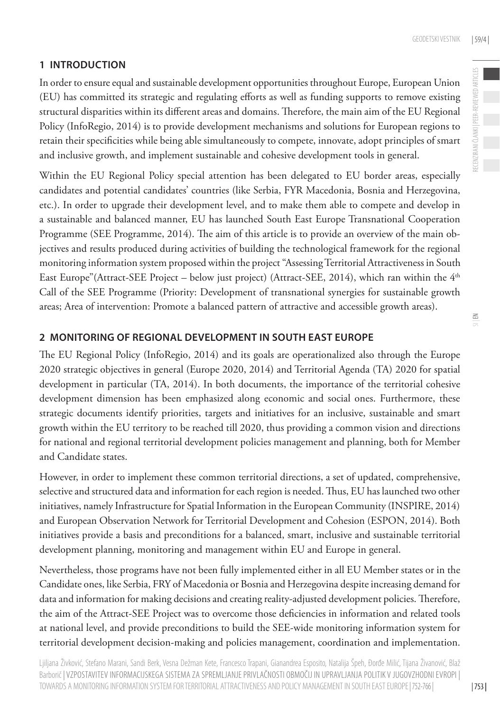# **1 INTRODUCTION**

In order to ensure equal and sustainable development opportunities throughout Europe, European Union (EU) has committed its strategic and regulating efforts as well as funding supports to remove existing structural disparities within its different areas and domains. Therefore, the main aim of the EU Regional Policy (InfoRegio, 2014) is to provide development mechanisms and solutions for European regions to retain their specificities while being able simultaneously to compete, innovate, adopt principles of smart and inclusive growth, and implement sustainable and cohesive development tools in general.

Within the EU Regional Policy special attention has been delegated to EU border areas, especially candidates and potential candidates' countries (like Serbia, FYR Macedonia, Bosnia and Herzegovina, etc.). In order to upgrade their development level, and to make them able to compete and develop in a sustainable and balanced manner, EU has launched South East Europe Transnational Cooperation Programme (SEE Programme, 2014). The aim of this article is to provide an overview of the main objectives and results produced during activities of building the technological framework for the regional monitoring information system proposed within the project "Assessing Territorial Attractiveness in South East Europe"(Attract-SEE Project – below just project) (Attract-SEE, 2014), which ran within the 4<sup>th</sup> Call of the SEE Programme (Priority: Development of transnational synergies for sustainable growth areas; Area of intervention: Promote a balanced pattern of attractive and accessible growth areas).

# **2 MONITORING OF REGIONAL DEVELOPMENT IN SOUTH EAST EUROPE**

The EU Regional Policy (InfoRegio, 2014) and its goals are operationalized also through the Europe 2020 strategic objectives in general (Europe 2020, 2014) and Territorial Agenda (TA) 2020 for spatial development in particular (TA, 2014). In both documents, the importance of the territorial cohesive development dimension has been emphasized along economic and social ones. Furthermore, these strategic documents identify priorities, targets and initiatives for an inclusive, sustainable and smart growth within the EU territory to be reached till 2020, thus providing a common vision and directions for national and regional territorial development policies management and planning, both for Member and Candidate states.

However, in order to implement these common territorial directions, a set of updated, comprehensive, selective and structured data and information for each region is needed. Thus, EU has launched two other initiatives, namely Infrastructure for Spatial Information in the European Community (INSPIRE, 2014) and European Observation Network for Territorial Development and Cohesion (ESPON, 2014). Both initiatives provide a basis and preconditions for a balanced, smart, inclusive and sustainable territorial development planning, monitoring and management within EU and Europe in general.

Nevertheless, those programs have not been fully implemented either in all EU Member states or in the Candidate ones, like Serbia, FRY of Macedonia or Bosnia and Herzegovina despite increasing demand for data and information for making decisions and creating reality-adjusted development policies. Therefore, the aim of the Attract-SEE Project was to overcome those deficiencies in information and related tools at national level, and provide preconditions to build the SEE-wide monitoring information system for territorial development decision-making and policies management, coordination and implementation.

Ljiljana Živković, Stefano Marani, Sandi Berk, Vesna Dežman Kete, Francesco Trapani, Gianandrea Esposito, Natalija Špeh, Đorđe Milić, Tijana Živanović, Blaž Barborič | VZPOSTAVITEV INFORMACIJSKEGA SISTEMA ZA SPREMLJANJE PRIVLAČNOSTI OBMOČIJ IN UPRAVLJANJA POLITIK V JUGOVZHODNI EVROPI | TOWARDS A MONITORING INFORMATION SYSTEM FOR TERRITORIAL ATTRACTIVENESS AND POLICY MANAGEMENT IN SOUTH EAST EUROPE| 752-766 |

 $\leq$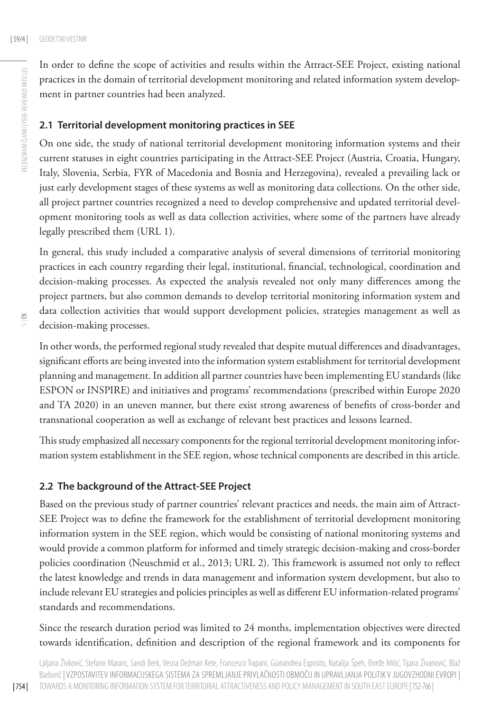RECENZIRANI ČLANKI | PEER-REVIEWED ARTICLES

RECENZIRANI ČLANKI | PEER-REVIEWED ARTICLES

In order to define the scope of activities and results within the Attract-SEE Project, existing national practices in the domain of territorial development monitoring and related information system development in partner countries had been analyzed.

#### **2.1 Territorial development monitoring practices in SEE**

On one side, the study of national territorial development monitoring information systems and their current statuses in eight countries participating in the Attract-SEE Project (Austria, Croatia, Hungary, Italy, Slovenia, Serbia, FYR of Macedonia and Bosnia and Herzegovina), revealed a prevailing lack or just early development stages of these systems as well as monitoring data collections. On the other side, all project partner countries recognized a need to develop comprehensive and updated territorial development monitoring tools as well as data collection activities, where some of the partners have already legally prescribed them (URL 1).

In general, this study included a comparative analysis of several dimensions of territorial monitoring practices in each country regarding their legal, institutional, financial, technological, coordination and decision-making processes. As expected the analysis revealed not only many differences among the project partners, but also common demands to develop territorial monitoring information system and data collection activities that would support development policies, strategies management as well as decision-making processes.

In other words, the performed regional study revealed that despite mutual differences and disadvantages, significant efforts are being invested into the information system establishment for territorial development planning and management. In addition all partner countries have been implementing EU standards (like ESPON or INSPIRE) and initiatives and programs' recommendations (prescribed within Europe 2020 and TA 2020) in an uneven manner, but there exist strong awareness of benefits of cross-border and transnational cooperation as well as exchange of relevant best practices and lessons learned.

This study emphasized all necessary components for the regional territorial development monitoring information system establishment in the SEE region, whose technical components are described in this article.

### **2.2 The background of the Attract-SEE Project**

Based on the previous study of partner countries' relevant practices and needs, the main aim of Attract-SEE Project was to define the framework for the establishment of territorial development monitoring information system in the SEE region, which would be consisting of national monitoring systems and would provide a common platform for informed and timely strategic decision-making and cross-border policies coordination (Neuschmid et al., 2013; URL 2). This framework is assumed not only to reflect the latest knowledge and trends in data management and information system development, but also to include relevant EU strategies and policies principles as well as different EU information-related programs' standards and recommendations.

Since the research duration period was limited to 24 months, implementation objectives were directed towards identification, definition and description of the regional framework and its components for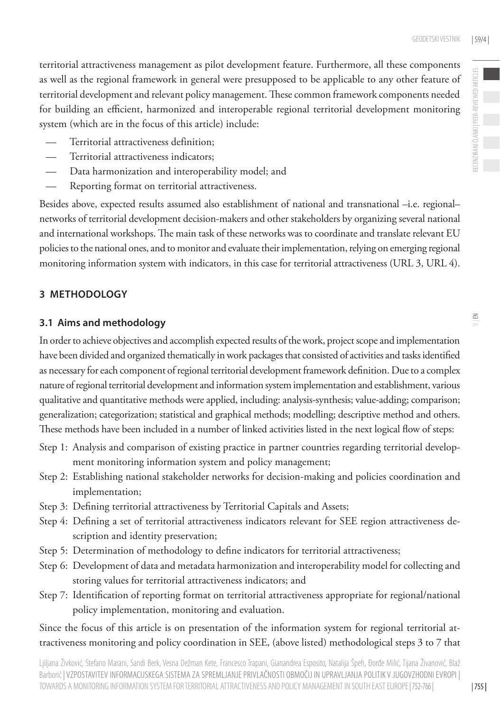- Territorial attractiveness definition;
- Territorial attractiveness indicators;
- Data harmonization and interoperability model; and
- Reporting format on territorial attractiveness.

Besides above, expected results assumed also establishment of national and transnational –i.e. regional– networks of territorial development decision-makers and other stakeholders by organizing several national and international workshops. The main task of these networks was to coordinate and translate relevant EU policies to the national ones, and to monitor and evaluate their implementation, relying on emerging regional monitoring information system with indicators, in this case for territorial attractiveness (URL 3, URL 4).

# **3 METHODOLOGY**

## **3.1 Aims and methodology**

In order to achieve objectives and accomplish expected results of the work, project scope and implementation have been divided and organized thematically in work packages that consisted of activities and tasks identified as necessary for each component of regional territorial development framework definition. Due to a complex nature of regional territorial development and information system implementation and establishment, various qualitative and quantitative methods were applied, including: analysis-synthesis; value-adding; comparison; generalization; categorization; statistical and graphical methods; modelling; descriptive method and others. These methods have been included in a number of linked activities listed in the next logical flow of steps:

- Step 1: Analysis and comparison of existing practice in partner countries regarding territorial development monitoring information system and policy management;
- Step 2: Establishing national stakeholder networks for decision-making and policies coordination and implementation;
- Step 3: Defining territorial attractiveness by Territorial Capitals and Assets;
- Step 4: Defining a set of territorial attractiveness indicators relevant for SEE region attractiveness description and identity preservation;
- Step 5: Determination of methodology to define indicators for territorial attractiveness;
- Step 6: Development of data and metadata harmonization and interoperability model for collecting and storing values for territorial attractiveness indicators; and
- Step 7: Identification of reporting format on territorial attractiveness appropriate for regional/national policy implementation, monitoring and evaluation.

Since the focus of this article is on presentation of the information system for regional territorial attractiveness monitoring and policy coordination in SEE, (above listed) methodological steps 3 to 7 that RECENZIRANI ČLANKI | PEER-REVIEWED ARTICLES

ECENZIRANI ČLANKI | PEER-REVIEWED ARTICLES

| 755 |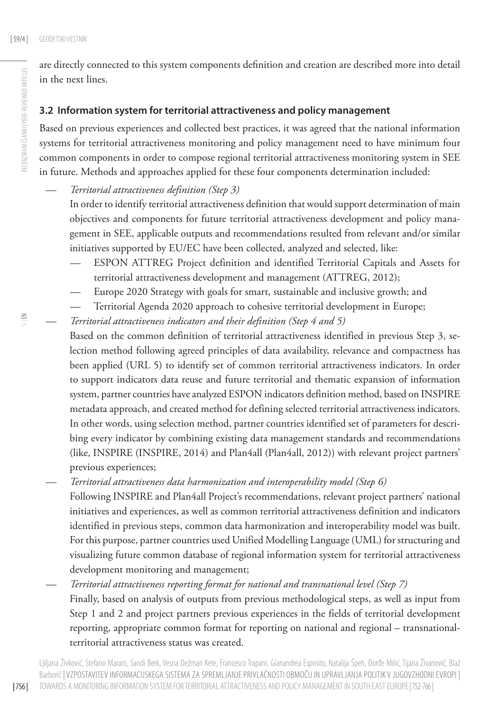are directly connected to this system components definition and creation are described more into detail in the next lines.

# **3.2 Information system for territorial attractiveness and policy management**

Based on previous experiences and collected best practices, it was agreed that the national information systems for territorial attractiveness monitoring and policy management need to have minimum four common components in order to compose regional territorial attractiveness monitoring system in SEE in future. Methods and approaches applied for these four components determination included:

— *Territorial attractiveness definition (Step 3)* 

In order to identify territorial attractiveness definition that would support determination of main objectives and components for future territorial attractiveness development and policy management in SEE, applicable outputs and recommendations resulted from relevant and/or similar initiatives supported by EU/EC have been collected, analyzed and selected, like:

- ESPON ATTREG Project definition and identified Territorial Capitals and Assets for territorial attractiveness development and management (ATTREG, 2012);
- Europe 2020 Strategy with goals for smart, sustainable and inclusive growth; and
- Territorial Agenda 2020 approach to cohesive territorial development in Europe;
- *Territorial attractiveness indicators and their definition (Step 4 and 5)* Based on the common definition of territorial attractiveness identified in previous Step 3, selection method following agreed principles of data availability, relevance and compactness has been applied (URL 5) to identify set of common territorial attractiveness indicators. In order to support indicators data reuse and future territorial and thematic expansion of information system, partner countries have analyzed ESPON indicators definition method, based on INSPIRE metadata approach, and created method for defining selected territorial attractiveness indicators. In other words, using selection method, partner countries identified set of parameters for describing every indicator by combining existing data management standards and recommendations (like, INSPIRE (INSPIRE, 2014) and Plan4all (Plan4all, 2012)) with relevant project partners' previous experiences;
	- *Territorial attractiveness data harmonization and interoperability model (Step 6)* Following INSPIRE and Plan4all Project's recommendations, relevant project partners' national initiatives and experiences, as well as common territorial attractiveness definition and indicators identified in previous steps, common data harmonization and interoperability model was built. For this purpose, partner countries used Unified Modelling Language (UML) for structuring and visualizing future common database of regional information system for territorial attractiveness development monitoring and management;
	- *Territorial attractiveness reporting format for national and transnational level (Step 7)* Finally, based on analysis of outputs from previous methodological steps, as well as input from Step 1 and 2 and project partners previous experiences in the fields of territorial development reporting, appropriate common format for reporting on national and regional – transnationalterritorial attractiveness status was created.

Ljiljana Živković, Stefano Marani, Sandi Berk, Vesna Dežman Kete, Francesco Trapani, Gianandrea Esposito, Natalija Špeh, Đorđe Milić, Tijana Živanović, Blaž Barborič | VZPOSTAVITEV INFORMACIJSKEGA SISTEMA ZA SPREMLJANJE PRIVLAČNOSTI OBMOČIJ IN UPRAVLJANJA POLITIK V JUGOVZHODNI EVROPI | TOWARDS A MONITORING INFORMATION SYSTEM FOR TERRITORIAL ATTRACTIVENESS AND POLICY MANAGEMENT IN SOUTH EAST EUROPE| 752-766 |

 $\Xi$ 

| 756 |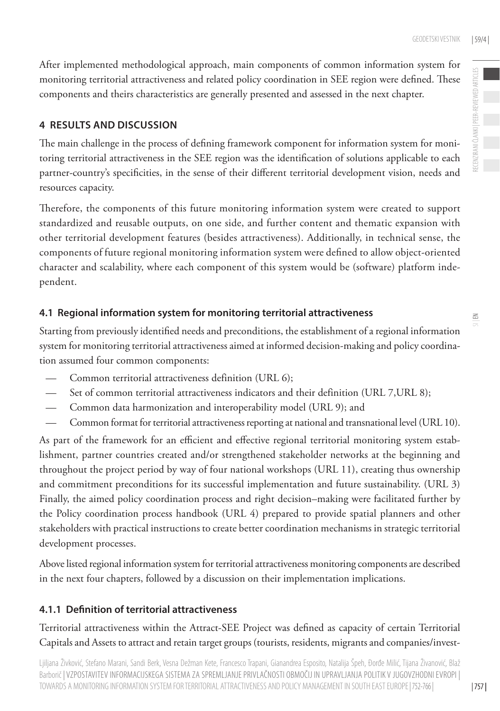After implemented methodological approach, main components of common information system for monitoring territorial attractiveness and related policy coordination in SEE region were defined. These components and theirs characteristics are generally presented and assessed in the next chapter.

## **4 RESULTS AND DISCUSSION**

The main challenge in the process of defining framework component for information system for monitoring territorial attractiveness in the SEE region was the identification of solutions applicable to each partner-country's specificities, in the sense of their different territorial development vision, needs and resources capacity.

Therefore, the components of this future monitoring information system were created to support standardized and reusable outputs, on one side, and further content and thematic expansion with other territorial development features (besides attractiveness). Additionally, in technical sense, the components of future regional monitoring information system were defined to allow object-oriented character and scalability, where each component of this system would be (software) platform independent.

## **4.1 Regional information system for monitoring territorial attractiveness**

Starting from previously identified needs and preconditions, the establishment of a regional information system for monitoring territorial attractiveness aimed at informed decision-making and policy coordination assumed four common components:

- Common territorial attractiveness definition (URL 6);
- Set of common territorial attractiveness indicators and their definition (URL 7, URL 8);
- Common data harmonization and interoperability model (URL 9); and
- Common format for territorial attractiveness reporting at national and transnational level (URL 10).

As part of the framework for an efficient and effective regional territorial monitoring system establishment, partner countries created and/or strengthened stakeholder networks at the beginning and throughout the project period by way of four national workshops (URL 11), creating thus ownership and commitment preconditions for its successful implementation and future sustainability. (URL 3) Finally, the aimed policy coordination process and right decision–making were facilitated further by the Policy coordination process handbook (URL 4) prepared to provide spatial planners and other stakeholders with practical instructions to create better coordination mechanisms in strategic territorial development processes.

Above listed regional information system for territorial attractiveness monitoring components are described in the next four chapters, followed by a discussion on their implementation implications.

### **4.1.1 Definition of territorial attractiveness**

Territorial attractiveness within the Attract-SEE Project was defined as capacity of certain Territorial Capitals and Assets to attract and retain target groups (tourists, residents, migrants and companies/invest-

Ljiljana Živković, Stefano Marani, Sandi Berk, Vesna Dežman Kete, Francesco Trapani, Gianandrea Esposito, Natalija Špeh, Đorđe Milić, Tijana Živanović, Blaž Barborič | VZPOSTAVITEV INFORMACIJSKEGA SISTEMA ZA SPREMLJANJE PRIVLAČNOSTI OBMOČIJ IN UPRAVLJANJA POLITIK V JUGOVZHODNI EVROPI | TOWARDS A MONITORING INFORMATION SYSTEM FOR TERRITORIAL ATTRACTIVENESS AND POLICY MANAGEMENT IN SOUTH EAST EUROPE| 752-766 |

RECENZIRANI ČLANKI | PEER-REVIEWED ARTICLES RECENZIRANI ČLANKI | PEER-REVIEWED ARTICLES

| 757 |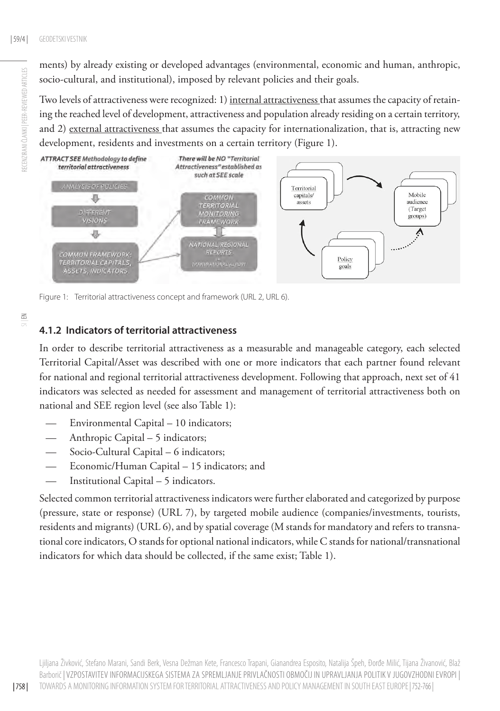RECENZIRANI ČLANKI | PEER-REVIEWED ARTICLES

RECENZIRANI ČLANKI I PEER-REVIEWED ARTICLES

ments) by already existing or developed advantages (environmental, economic and human, anthropic, socio-cultural, and institutional), imposed by relevant policies and their goals.

Two levels of attractiveness were recognized: 1) internal attractiveness that assumes the capacity of retaining the reached level of development, attractiveness and population already residing on a certain territory, and 2) external attractiveness that assumes the capacity for internationalization, that is, attracting new development, residents and investments on a certain territory (Figure 1).



Figure 1: Territorial attractiveness concept and framework (URL 2, URL 6).

# **4.1.2 Indicators of territorial attractiveness**

In order to describe territorial attractiveness as a measurable and manageable category, each selected Territorial Capital/Asset was described with one or more indicators that each partner found relevant for national and regional territorial attractiveness development. Following that approach, next set of 41 indicators was selected as needed for assessment and management of territorial attractiveness both on national and SEE region level (see also Table 1):

- Environmental Capital 10 indicators;
- Anthropic Capital 5 indicators;
- Socio-Cultural Capital 6 indicators;
- Economic/Human Capital 15 indicators; and
- Institutional Capital 5 indicators.

Selected common territorial attractiveness indicators were further elaborated and categorized by purpose (pressure, state or response) (URL 7), by targeted mobile audience (companies/investments, tourists, residents and migrants) (URL 6), and by spatial coverage (M stands for mandatory and refers to transnational core indicators, O stands for optional national indicators, while C stands for national/transnational indicators for which data should be collected, if the same exist; Table 1).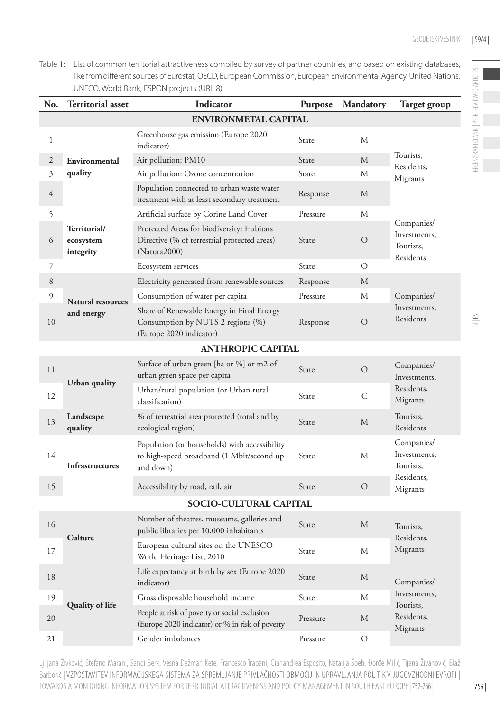Table 1: List of common territorial attractiveness compiled by survey of partner countries, and based on existing databases, like from different sources of Eurostat, OECD, European Commission, European Environmental Agency, United Nations, UNECO, World Bank, ESPON projects (URL 8).

| No.                         | <b>Territorial asset</b>               | Indicator                                                                                                   | Purpose      | Mandatory      | Target group                                                      |  |  |  |
|-----------------------------|----------------------------------------|-------------------------------------------------------------------------------------------------------------|--------------|----------------|-------------------------------------------------------------------|--|--|--|
| <b>ENVIRONMETAL CAPITAL</b> |                                        |                                                                                                             |              |                |                                                                   |  |  |  |
| 1                           | Environmental<br>quality               | Greenhouse gas emission (Europe 2020)<br>indicator)                                                         | State        | М              | Tourists,<br>Residents,<br>Migrants                               |  |  |  |
| $\overline{2}$              |                                        | Air pollution: PM10                                                                                         | State        | M              |                                                                   |  |  |  |
| 3                           |                                        | Air pollution: Ozone concentration                                                                          | State        | М              |                                                                   |  |  |  |
| $\overline{4}$              |                                        | Population connected to urban waste water<br>treatment with at least secondary treatment                    | Response     | M              |                                                                   |  |  |  |
| 5                           | Territorial/<br>ecosystem<br>integrity | Artificial surface by Corine Land Cover                                                                     | Pressure     | М              | Companies/<br>Investments,<br>Tourists,<br>Residents              |  |  |  |
| 6                           |                                        | Protected Areas for biodiversity: Habitats<br>Directive (% of terrestrial protected areas)<br>(Natural2000) | State        | О              |                                                                   |  |  |  |
| 7                           |                                        | Ecosystem services                                                                                          | State        | $\circ$        |                                                                   |  |  |  |
| 8                           |                                        | Electricity generated from renewable sources                                                                | Response     | M              | Companies/<br>Investments,<br>Residents                           |  |  |  |
| 9                           | <b>Natural resources</b>               | Consumption of water per capita                                                                             | Pressure     | М              |                                                                   |  |  |  |
| 10                          | and energy                             | Share of Renewable Energy in Final Energy<br>Consumption by NUTS 2 regions (%)<br>(Europe 2020 indicator)   | Response     | $\overline{O}$ |                                                                   |  |  |  |
|                             |                                        | <b>ANTHROPIC CAPITAL</b>                                                                                    |              |                |                                                                   |  |  |  |
| 11                          | Urban quality                          | Surface of urban green [ha or %] or m2 of<br>urban green space per capita                                   | State        | $\circ$        | Companies/<br>Investments,<br>Residents,<br>Migrants              |  |  |  |
| 12                          |                                        | Urban/rural population (or Urban rural<br>classification)                                                   | State        | C              |                                                                   |  |  |  |
| 13                          | Landscape<br>quality                   | % of terrestrial area protected (total and by<br>ecological region)                                         | State        | M              | Tourists,<br>Residents                                            |  |  |  |
| 14                          | <b>Infrastructures</b>                 | Population (or households) with accessibility<br>to high-speed broadband (1 Mbit/second up<br>and down)     | State        | М              | Companies/<br>Investments,<br>Tourists.<br>Residents,<br>Migrants |  |  |  |
| 15                          |                                        | Accessibility by road, rail, air                                                                            | State        | $\circ$        |                                                                   |  |  |  |
|                             | <b>SOCIO-CULTURAL CAPITAL</b>          |                                                                                                             |              |                |                                                                   |  |  |  |
| 16                          | Culture                                | Number of theatres, museums, galleries and<br>public libraries per 10,000 inhabitants                       | State        | M              | Tourists.<br>Residents,<br>Migrants                               |  |  |  |
| 17                          |                                        | European cultural sites on the UNESCO<br>World Heritage List, 2010                                          | <b>State</b> | M              |                                                                   |  |  |  |
| 18                          | Quality of life                        | Life expectancy at birth by sex (Europe 2020<br>indicator)                                                  | State        | M              | Companies/<br>Investments,<br>Tourists,<br>Residents,<br>Migrants |  |  |  |
| 19                          |                                        | Gross disposable household income                                                                           | State        | М              |                                                                   |  |  |  |
| 20                          |                                        | People at risk of poverty or social exclusion<br>(Europe 2020 indicator) or % in risk of poverty            | Pressure     | M              |                                                                   |  |  |  |
| 21                          |                                        | Gender imbalances                                                                                           | Pressure     | $\circ$        |                                                                   |  |  |  |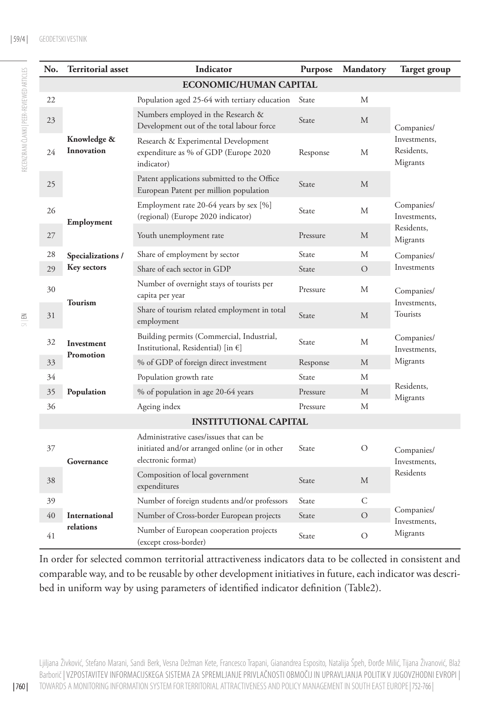| No.                           | Territorial asset         | Indicator                                                                                                      | Purpose      | Mandatory      | Target group                                         |  |  |  |
|-------------------------------|---------------------------|----------------------------------------------------------------------------------------------------------------|--------------|----------------|------------------------------------------------------|--|--|--|
| <b>ECONOMIC/HUMAN CAPITAL</b> |                           |                                                                                                                |              |                |                                                      |  |  |  |
| 22                            | Knowledge &<br>Innovation | Population aged 25-64 with tertiary education                                                                  | State        | M              | Companies/<br>Investments,<br>Residents,<br>Migrants |  |  |  |
| 23                            |                           | Numbers employed in the Research &<br>Development out of the total labour force                                | State        | М              |                                                      |  |  |  |
| 24                            |                           | Research & Experimental Development<br>expenditure as % of GDP (Europe 2020<br>indicator)                      | Response     | М              |                                                      |  |  |  |
| 25                            |                           | Patent applications submitted to the Office<br>European Patent per million population                          | <b>State</b> | M              |                                                      |  |  |  |
| 26                            | Employment                | Employment rate 20-64 years by sex [%]<br>(regional) (Europe 2020 indicator)                                   | <b>State</b> | M              | Companies/<br>Investments,                           |  |  |  |
| 27                            |                           | Youth unemployment rate                                                                                        | Pressure     | M              | Residents,<br>Migrants                               |  |  |  |
| 28                            | Specializations /         | Share of employment by sector                                                                                  | State        | M              | Companies/                                           |  |  |  |
| 29                            | <b>Key sectors</b>        | Share of each sector in GDP                                                                                    | State        | $\overline{O}$ | Investments                                          |  |  |  |
| 30                            | Tourism                   | Number of overnight stays of tourists per<br>capita per year                                                   | Pressure     | M              | Companies/                                           |  |  |  |
| 31                            |                           | Share of tourism related employment in total<br>employment                                                     | State        | M              | Investments,<br>Tourists                             |  |  |  |
| 32                            | Investment<br>Promotion   | Building permits (Commercial, Industrial,<br>Institutional, Residential) [in $\epsilon$ ]                      | State        | M              | Companies/<br>Investments,                           |  |  |  |
| 33                            |                           | % of GDP of foreign direct investment                                                                          | Response     | M              | Migrants                                             |  |  |  |
| 34                            |                           | Population growth rate                                                                                         | State        | M              | Residents.<br>Migrants                               |  |  |  |
| 35                            | Population                | % of population in age 20-64 years                                                                             | Pressure     | M              |                                                      |  |  |  |
| 36                            |                           | Ageing index                                                                                                   | Pressure     | М              |                                                      |  |  |  |
| <b>INSTITUTIONAL CAPITAL</b>  |                           |                                                                                                                |              |                |                                                      |  |  |  |
| 37                            | Governance                | Administrative cases/issues that can be<br>initiated and/or arranged online (or in other<br>electronic format) | State        | $\circ$        | Companies/<br>Investments,<br>Residents              |  |  |  |
| 38                            |                           | Composition of local government<br>expenditures                                                                | State        | M              |                                                      |  |  |  |
| 39                            |                           | Number of foreign students and/or professors                                                                   | State        | C              | Companies/<br>Investments,<br>Migrants               |  |  |  |
| 40                            | International             | Number of Cross-border European projects                                                                       | State        | $\circ$        |                                                      |  |  |  |
| 41                            | relations                 | Number of European cooperation projects<br>(except cross-border)                                               | State        | $\circ$        |                                                      |  |  |  |

In order for selected common territorial attractiveness indicators data to be collected in consistent and comparable way, and to be reusable by other development initiatives in future, each indicator was described in uniform way by using parameters of identified indicator definition (Table2).

Ljiljana Živković, Stefano Marani, Sandi Berk, Vesna Dežman Kete, Francesco Trapani, Gianandrea Esposito, Natalija Špeh, Đorđe Milić, Tijana Živanović, Blaž Barborič | VZPOSTAVITEV INFORMACIJSKEGA SISTEMA ZA SPREMLJANJE PRIVLAČNOSTI OBMOČIJ IN UPRAVLJANJA POLITIK V JUGOVZHODNI EVROPI | TOWARDS A MONITORING INFORMATION SYSTEM FOR TERRITORIAL ATTRACTIVENESS AND POLICY MANAGEMENT IN SOUTH EAST EUROPE| 752-766 |

RECENZIRANI ČLANKI | PEER-REVIEWED ARTICLES

RECENZIRANI ČLANKI | PEER-REVIEWED ARTICLES

| 760 |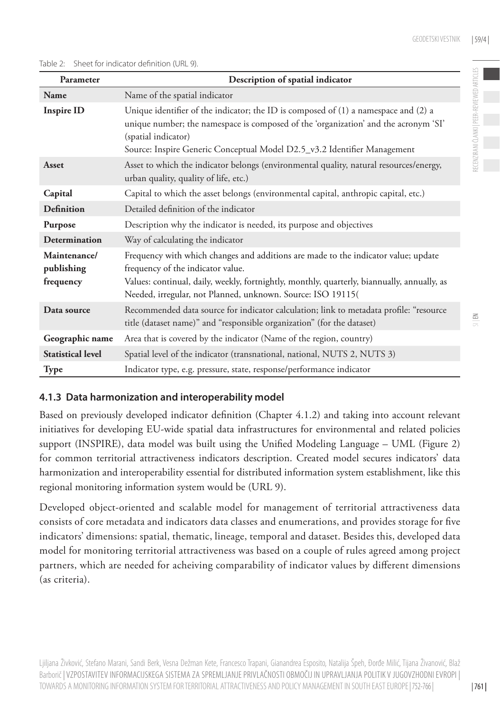RECENZIRANI ČLANKI | PEER-REVIEWED ARTICLES

FECENZIR ANI ČI ANKI I PEFR-REVIEWED ARTICI F

 $\leq$ 

#### Table 2: Sheet for indicator definition (URL 9).

| Parameter                               | Description of spatial indicator                                                                                                                                                                                                                                                      |  |  |
|-----------------------------------------|---------------------------------------------------------------------------------------------------------------------------------------------------------------------------------------------------------------------------------------------------------------------------------------|--|--|
| Name                                    | Name of the spatial indicator                                                                                                                                                                                                                                                         |  |  |
| <b>Inspire ID</b>                       | Unique identifier of the indicator; the ID is composed of (1) a namespace and (2) a<br>unique number; the namespace is composed of the 'organization' and the acronym 'SI'<br>(spatial indicator)<br>Source: Inspire Generic Conceptual Model D2.5_v3.2 Identifier Management         |  |  |
| Asset                                   | Asset to which the indicator belongs (environmental quality, natural resources/energy,<br>urban quality, quality of life, etc.)                                                                                                                                                       |  |  |
| Capital                                 | Capital to which the asset belongs (environmental capital, anthropic capital, etc.)                                                                                                                                                                                                   |  |  |
| <b>Definition</b>                       | Detailed definition of the indicator                                                                                                                                                                                                                                                  |  |  |
| Purpose                                 | Description why the indicator is needed, its purpose and objectives                                                                                                                                                                                                                   |  |  |
| <b>Determination</b>                    | Way of calculating the indicator                                                                                                                                                                                                                                                      |  |  |
| Maintenance/<br>publishing<br>frequency | Frequency with which changes and additions are made to the indicator value; update<br>frequency of the indicator value.<br>Values: continual, daily, weekly, fortnightly, monthly, quarterly, biannually, annually, as<br>Needed, irregular, not Planned, unknown. Source: ISO 19115( |  |  |
| Data source                             | Recommended data source for indicator calculation; link to metadata profile: "resource<br>title (dataset name)" and "responsible organization" (for the dataset)                                                                                                                      |  |  |
| Geographic name                         | Area that is covered by the indicator (Name of the region, country)                                                                                                                                                                                                                   |  |  |
| <b>Statistical level</b>                | Spatial level of the indicator (transnational, national, NUTS 2, NUTS 3)                                                                                                                                                                                                              |  |  |
| <b>Type</b>                             | Indicator type, e.g. pressure, state, response/performance indicator                                                                                                                                                                                                                  |  |  |

## **4.1.3 Data harmonization and interoperability model**

Based on previously developed indicator definition (Chapter 4.1.2) and taking into account relevant initiatives for developing EU-wide spatial data infrastructures for environmental and related policies support (INSPIRE), data model was built using the Unified Modeling Language – UML (Figure 2) for common territorial attractiveness indicators description. Created model secures indicators' data harmonization and interoperability essential for distributed information system establishment, like this regional monitoring information system would be (URL 9).

Developed object-oriented and scalable model for management of territorial attractiveness data consists of core metadata and indicators data classes and enumerations, and provides storage for five indicators' dimensions: spatial, thematic, lineage, temporal and dataset. Besides this, developed data model for monitoring territorial attractiveness was based on a couple of rules agreed among project partners, which are needed for acheiving comparability of indicator values by different dimensions (as criteria).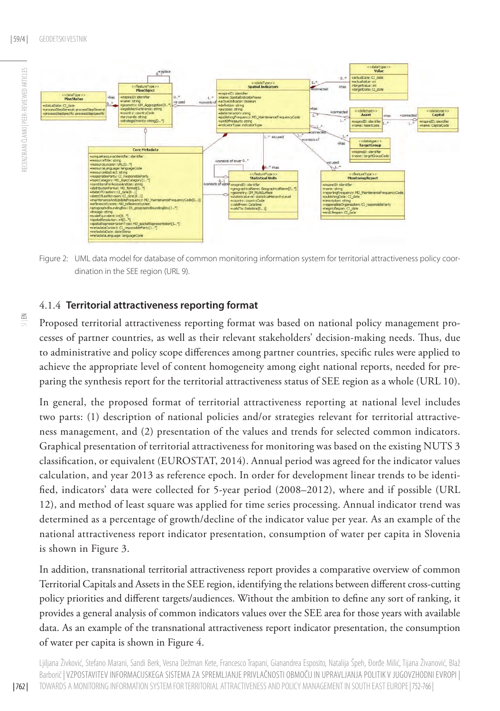

Figure 2: UML data model for database of common monitoring information system for territorial attractiveness policy coordination in the SEE region (URL 9).

## 4.1.4 **Territorial attractiveness reporting format**

 $\Xi$ 

Proposed territorial attractiveness reporting format was based on national policy management processes of partner countries, as well as their relevant stakeholders' decision-making needs. Thus, due to administrative and policy scope differences among partner countries, specific rules were applied to achieve the appropriate level of content homogeneity among eight national reports, needed for preparing the synthesis report for the territorial attractiveness status of SEE region as a whole (URL 10).

In general, the proposed format of territorial attractiveness reporting at national level includes two parts: (1) description of national policies and/or strategies relevant for territorial attractiveness management, and (2) presentation of the values and trends for selected common indicators. Graphical presentation of territorial attractiveness for monitoring was based on the existing NUTS 3 classification, or equivalent (EUROSTAT, 2014). Annual period was agreed for the indicator values calculation, and year 2013 as reference epoch. In order for development linear trends to be identified, indicators' data were collected for 5-year period (2008–2012), where and if possible (URL 12), and method of least square was applied for time series processing. Annual indicator trend was determined as a percentage of growth/decline of the indicator value per year. As an example of the national attractiveness report indicator presentation, consumption of water per capita in Slovenia is shown in Figure 3.

In addition, transnational territorial attractiveness report provides a comparative overview of common Territorial Capitals and Assets in the SEE region, identifying the relations between different cross-cutting policy priorities and different targets/audiences. Without the ambition to define any sort of ranking, it provides a general analysis of common indicators values over the SEE area for those years with available data. As an example of the transnational attractiveness report indicator presentation, the consumption of water per capita is shown in Figure 4.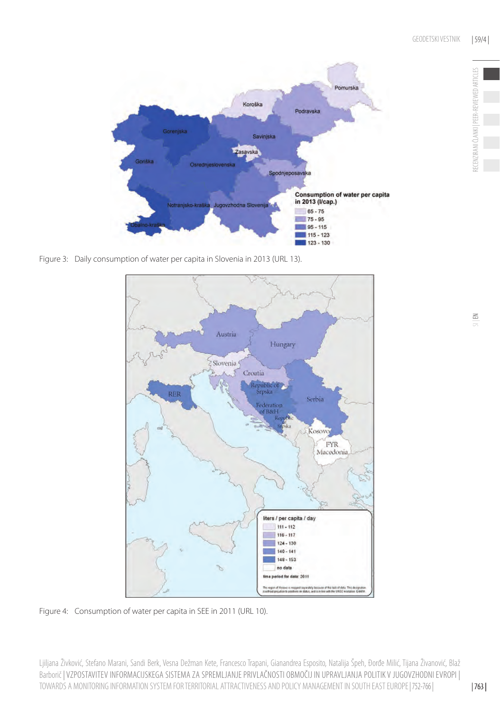

Figure 3: Daily consumption of water per capita in Slovenia in 2013 (URL 13).



Figure 4: Consumption of water per capita in SEE in 2011 (URL 10).

Ljiljana Živković, Stefano Marani, Sandi Berk, Vesna Dežman Kete, Francesco Trapani, Gianandrea Esposito, Natalija Špeh, Đorđe Milić, Tijana Živanović, Blaž Barborič | VZPOSTAVITEV INFORMACIJSKEGA SISTEMA ZA SPREMLJANJE PRIVLAČNOSTI OBMOČIJ IN UPRAVLJANJA POLITIK V JUGOVZHODNI EVROPI | TOWARDS A MONITORING INFORMATION SYSTEM FOR TERRITORIAL ATTRACTIVENESS AND POLICY MANAGEMENT IN SOUTH EAST EUROPE| 752-766 |

RECENZIRANI ČLANKI | PEER-REVIEWED ARTICLES

RECENZIRANI ČLANKI | PEER-REVIEWED ARTICLES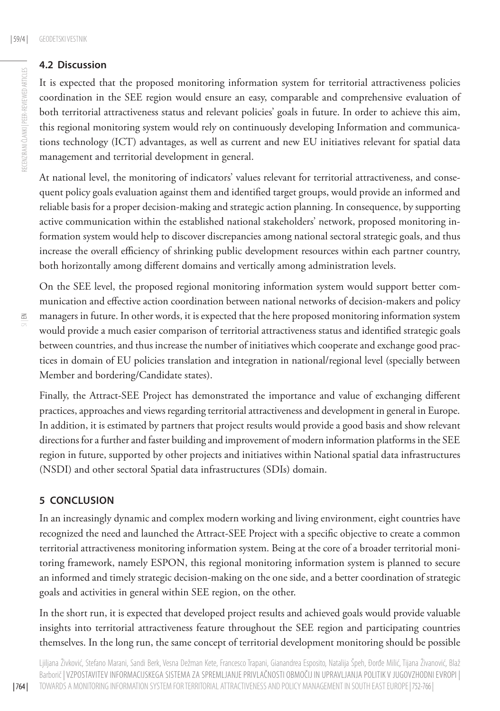## **4.2 Discussion**

It is expected that the proposed monitoring information system for territorial attractiveness policies coordination in the SEE region would ensure an easy, comparable and comprehensive evaluation of both territorial attractiveness status and relevant policies' goals in future. In order to achieve this aim, this regional monitoring system would rely on continuously developing Information and communications technology (ICT) advantages, as well as current and new EU initiatives relevant for spatial data management and territorial development in general.

At national level, the monitoring of indicators' values relevant for territorial attractiveness, and consequent policy goals evaluation against them and identified target groups, would provide an informed and reliable basis for a proper decision-making and strategic action planning. In consequence, by supporting active communication within the established national stakeholders' network, proposed monitoring information system would help to discover discrepancies among national sectoral strategic goals, and thus increase the overall efficiency of shrinking public development resources within each partner country, both horizontally among different domains and vertically among administration levels.

On the SEE level, the proposed regional monitoring information system would support better communication and effective action coordination between national networks of decision-makers and policy managers in future. In other words, it is expected that the here proposed monitoring information system would provide a much easier comparison of territorial attractiveness status and identified strategic goals between countries, and thus increase the number of initiatives which cooperate and exchange good practices in domain of EU policies translation and integration in national/regional level (specially between Member and bordering/Candidate states).

Finally, the Attract-SEE Project has demonstrated the importance and value of exchanging different practices, approaches and views regarding territorial attractiveness and development in general in Europe. In addition, it is estimated by partners that project results would provide a good basis and show relevant directions for a further and faster building and improvement of modern information platforms in the SEE region in future, supported by other projects and initiatives within National spatial data infrastructures (NSDI) and other sectoral Spatial data infrastructures (SDIs) domain.

### **5 CONCLUSION**

In an increasingly dynamic and complex modern working and living environment, eight countries have recognized the need and launched the Attract-SEE Project with a specific objective to create a common territorial attractiveness monitoring information system. Being at the core of a broader territorial monitoring framework, namely ESPON, this regional monitoring information system is planned to secure an informed and timely strategic decision-making on the one side, and a better coordination of strategic goals and activities in general within SEE region, on the other.

In the short run, it is expected that developed project results and achieved goals would provide valuable insights into territorial attractiveness feature throughout the SEE region and participating countries themselves. In the long run, the same concept of territorial development monitoring should be possible

Ljiljana Živković, Stefano Marani, Sandi Berk, Vesna Dežman Kete, Francesco Trapani, Gianandrea Esposito, Natalija Špeh, Đorđe Milić, Tijana Živanović, Blaž Barborič | VZPOSTAVITEV INFORMACIJSKEGA SISTEMA ZA SPREMLJANJE PRIVLAČNOSTI OBMOČIJ IN UPRAVLJANJA POLITIK V JUGOVZHODNI EVROPI | TOWARDS A MONITORING INFORMATION SYSTEM FOR TERRITORIAL ATTRACTIVENESS AND POLICY MANAGEMENT IN SOUTH EAST EUROPE| 752-766 |

 $\leq$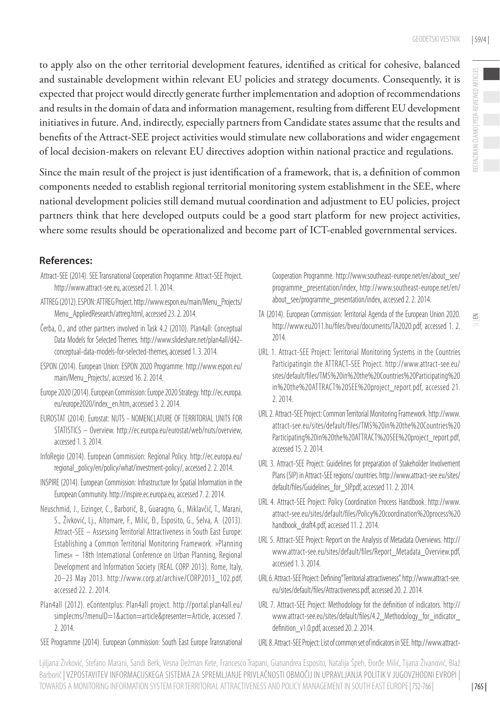to apply also on the other territorial development features, identified as critical for cohesive, balanced and sustainable development within relevant EU policies and strategy documents. Consequently, it is expected that project would directly generate further implementation and adoption of recommendations and results in the domain of data and information management, resulting from different EU development initiatives in future. And, indirectly, especially partners from Candidate states assume that the results and benefits of the Attract-SEE project activities would stimulate new collaborations and wider engagement of local decision-makers on relevant EU directives adoption within national practice and regulations.

Since the main result of the project is just identification of a framework, that is, a definition of common components needed to establish regional territorial monitoring system establishment in the SEE, where national development policies still demand mutual coordination and adjustment to EU policies, project partners think that here developed outputs could be a good start platform for new project activities, where some results should be operationalized and become part of ICT-enabled governmental services.

## **References:**

- Attract-SEE (2014). SEE Transnational Cooperation Programme: Attract-SEE Project. [http://www.attract-see.eu,](http://www.attract-see.eu/) accessed 21. 1. 2014.
- ATTREG (2012). ESPON: ATTREG Project. [http://www.espon.eu/main/Menu\\_Projects/](http://www.espon.eu/main/Menu_Projects/Menu_AppliedResearch/attreg.html) [Menu\\_AppliedResearch/attreg.html,](http://www.espon.eu/main/Menu_Projects/Menu_AppliedResearch/attreg.html) accessed 23. 2. 2014.
- Čerba, О., and other partners involved in Task 4.2 (2010). Plan4all: Conceptual Data Models for Selected Themes. [http://www.slideshare.net/plan4all/d42](http://www.slideshare.net/plan4all/d42-conceptual-data-models-for-selected-themes) [conceptual-data-models-for-selected-themes](http://www.slideshare.net/plan4all/d42-conceptual-data-models-for-selected-themes), accessed 1. 3. 2014.
- ESPON (2014). European Union: ESPON 2020 Programme. [http://www.espon.eu/](http://www.espon.eu/main/Menu_Projects/) main/Menu Projects/, accessed 16. 2. 2014.
- Europe 2020 (2014). European Commission: Europe 2020 Strategy. [http://ec.europa.](http://ec.europa.eu/europe2020/index_en.htm) [eu/europe2020/index\\_en.htm](http://ec.europa.eu/europe2020/index_en.htm), accessed 3. 2. 2014.
- EUROSTAT (2014). Eurostat: NUTS NOMENCLATURE OF TERRITORIAL UNITS FOR STATISTICS – Overview. <http://ec.europa.eu/eurostat/web/nuts/overview>, accessed 1. 3. 2014.
- InfoRegio (2014). European Commission: Regional Policy. [http://ec.europa.eu/](http://ec.europa.eu/regional_policy/en/policy/what/investment-policy/) [regional\\_policy/en/policy/what/investment-policy/,](http://ec.europa.eu/regional_policy/en/policy/what/investment-policy/) accessed 2. 2. 2014.
- INSPIRE (2014). European Commission: Infrastructure for Spatial Information in the European Community. [http://inspire.ec.europa.eu](http://inspire.ec.europa.eu/), accessed 7. 2. 2014.
- Neuschmid, J., Eizinger, C., Barborič, B., Guaragno, G., Miklavčič, T., Marani, S., Živković, Lj., Altomare, F., Milić, Đ., Esposito, G., Selva, A. (2013). Attract-SEE – Assessing Territorial Attractiveness in South East Europe: Establishing a Common Territorial Monitoring Framework. »Planning Times« – 18th International Conference on Urban Planning, Regional Development and Information Society (REAL CORP 2013). Rome, Italy, 20–23 May 2013. [http://www.corp.at/archive/CORP2013\\_102.pdf](http://www.corp.at/archive/CORP2013_102.pdf), accessed 22. 2. 2014.
- Plan4all (2012). eContentplus: Plan4all project. [http://portal.plan4all.eu/](http://portal.plan4all.eu/simplecms/?menuID=1&action=article&presenter=Article) [simplecms/?menuID=1&action=article&presenter=Article,](http://portal.plan4all.eu/simplecms/?menuID=1&action=article&presenter=Article) accessed 7. 2. 2014.
- SEE Programme (2014). European Commission: South East Europe Transnational

Cooperation Programme. [http://www.southeast-europe.net/en/about\\_see/](http://www.southeast-europe.net/en/about_see/programme_presentation/index) [programme\\_presentation/index](http://www.southeast-europe.net/en/about_see/programme_presentation/index), [http://www.southeast-europe.net/en/](http://www.southeast-europe.net/en/about_see/programme_presentation/index) [about\\_see/programme\\_presentation/index,](http://www.southeast-europe.net/en/about_see/programme_presentation/index) accessed 2. 2. 2014.

- TA (2014). European Commission: Territorial Agenda of the European Union 2020. <http://www.eu2011.hu/files/bveu/documents/TA2020.pdf>, accessed 1. 2. 2014.
- URL 1. Attract-SEE Project: Territorial Monitoring Systems in the Countries Participatingin the ATTRACT-SEE Project. [http://www.attract-see.eu/](http://www.attract-see.eu/sites/default/files/TMS%20in%20the%20Countries%20Participating%20in%20the%20ATTRACT%20SEE%20project_report.pdf) [sites/default/files/TMS%20in%20the%20Countries%20Participating%20](http://www.attract-see.eu/sites/default/files/TMS%20in%20the%20Countries%20Participating%20in%20the%20ATTRACT%20SEE%20project_report.pdf) [in%20the%20ATTRACT%20SEE%20project\\_report.pdf,](http://www.attract-see.eu/sites/default/files/TMS%20in%20the%20Countries%20Participating%20in%20the%20ATTRACT%20SEE%20project_report.pdf) accessed 21. 2. 2014.
- URL 2. Attract-SEE Project: Common Territorial Monitoring Framework. http://www. attract-see.eu/sites/default/files/TMS%20in%20the%20Countries%20 Participating%20in%20the%20ATTRACT%20SEE%20project\_report.pdf, accessed 15. 2. 2014.
- URL 3. Attract-SEE Project: Guidelines for preparation of Stakeholder Involvement Plans (SIP) in Attract-SEE regions/ countries. http://www.attract-see.eu/sites/ default/files/Guidelines\_for\_SIP.pdf, accessed 11. 2. 2014.
- URL 4. Attract-SEE Project: Policy Coordination Process Handbook. http://www. attract-see.eu/sites/default/files/Policy%20coordination%20process%20 handbook\_draft4.pdf, accessed 11. 2. 2014.
- URL 5. Attract-SEE Project: Report on the Analysis of Metadata Overviews. [http://](http://www.attract-see.eu/sites/default/files/Report_Metadata_Overview.pdf) [www.attract-see.eu/sites/default/files/Report\\_Metadata\\_Overview.pdf](http://www.attract-see.eu/sites/default/files/Report_Metadata_Overview.pdf), accessed 1. 3. 2014.
- URL 6. Attract-SEE Project: Defining "Territorial attractiveness". [http://www.attract-see.](http://www.attract-see.eu/sites/default/files/Attractiveness.pdf) [eu/sites/default/files/Attractiveness.pdf](http://www.attract-see.eu/sites/default/files/Attractiveness.pdf), accessed 20. 2. 2014.
- URL 7. Attract-SEE Project: Methodology for the definition of indicators. [http://](http://www.attract-see.eu/sites/default/files/Attractiveness.pdf) [www.attract-see.eu/sites/default/files/4.2\\_Methodology\\_for\\_indicator\\_](http://www.attract-see.eu/sites/default/files/Attractiveness.pdf) definition v1.0.pdf, accessed 20. 2. 2014.
- URL 8. Attract-SEE Project: List of common set of indicators in SEE. [http://www.attract-](http://www.attract-see.eu/sites/default/files/GI_Indicator_SEE_final_report_28_10_2013.pdf)

Ljiljana Živković, Stefano Marani, Sandi Berk, Vesna Dežman Kete, Francesco Trapani, Gianandrea Esposito, Natalija Špeh, Đorđe Milić, Tijana Živanović, Blaž Barborič | VZPOSTAVITEV INFORMACIJSKEGA SISTEMA ZA SPREMLJANJE PRIVLAČNOSTI OBMOČIJ IN UPRAVLJANJA POLITIK V JUGOVZHODNI EVROPI | TOWARDS A MONITORING INFORMATION SYSTEM FOR TERRITORIAL ATTRACTIVENESS AND POLICY MANAGEMENT IN SOUTH EAST EUROPE| 752-766 |

 $\leq$